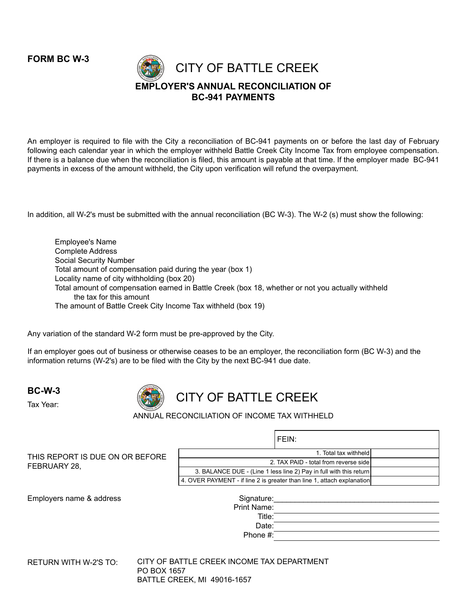**FORM BC W-3** 



An employer is required to file with the City a reconciliation of BC-941 payments on or before the last day of February following each calendar year in which the employer withheld Battle Creek City Income Tax from employee compensation. If there is a balance due when the reconciliation is filed, this amount is payable at that time. If the employer made BC-941 payments in excess of the amount withheld, the City upon verification will refund the overpayment.

In addition, all W-2's must be submitted with the annual reconciliation (BC W-3). The W-2 (s) must show the following:

Employee's Name Complete Address Social Security Number Total amount of compensation paid during the year (box 1) Locality name of city withholding (box 20) Total amount of compensation earned in Battle Creek (box 18, whether or not you actually withheld the tax for this amount The amount of Battle Creek City Income Tax withheld (box 19)

Any variation of the standard W-2 form must be pre-approved by the City.

If an employer goes out of business or otherwise ceases to be an employer, the reconciliation form (BC W-3) and the information returns (W-2's) are to be filed with the City by the next BC-941 due date.

**BC-W-3**



CITY OF BATTLE CREEK

ANNUAL RECONCILIATION OF INCOME TAX WITHHELD

Tax Year:

FEBRUARY 28,

|                                                                    | FEIN: |  |
|--------------------------------------------------------------------|-------|--|
| 1. Total tax withheld                                              |       |  |
| 2. TAX PAID - total from reverse side                              |       |  |
| 3. BALANCE DUE - (Line 1 less line 2) Pay in full with this return |       |  |

Employers name & address

THIS REPORT IS DUE ON OR BEFORE

4. OVER PAYMENT - if line 2 is greater than line 1, attach explanation

| RETURN WITH W-2'S TO: | CITY OF BATTLE CREEK INCOME TAX DEPARTMENT |  |
|-----------------------|--------------------------------------------|--|
|                       | PO BOX 1657                                |  |
|                       | <b>BATTLE CREEK, MI 49016-1657</b>         |  |